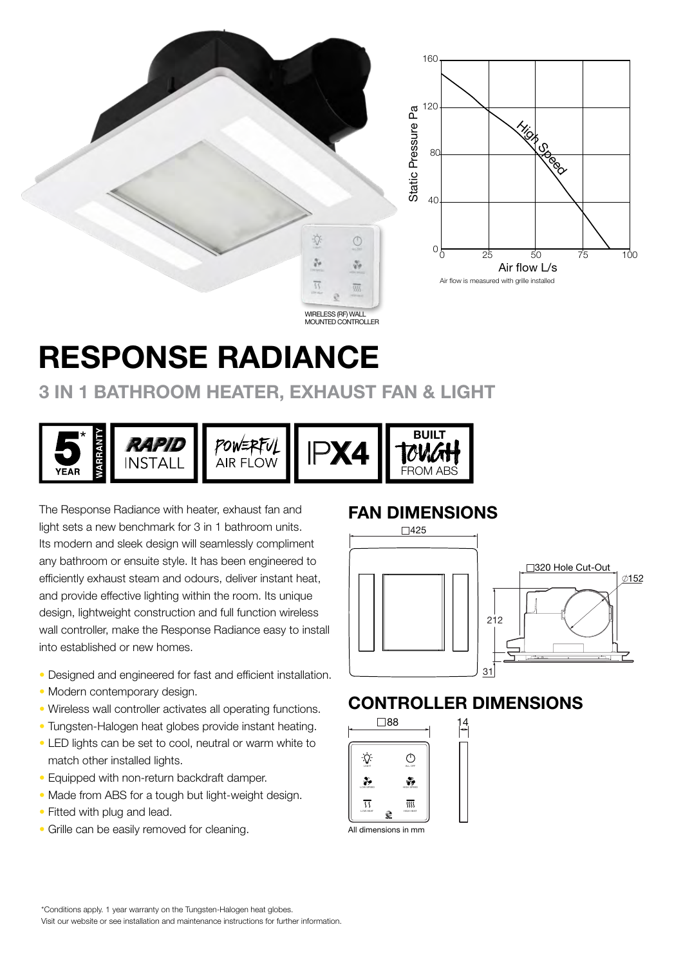

WIRELESS (RF) WALL MOUNTED CONTROLLER

 $\circ$ 

 $\sqrt[3]{g}$ 

 $\overline{w}$ 

**D** 

 $\frac{\partial}{\partial t}$ 

 $\overline{\mathfrak{H}}$ 

# RESPONSE RADIANCE

## 3 IN 1 BATHROOM HEATER, EXHAUST FAN & LIGHT



The Response Radiance with heater, exhaust fan and light sets a new benchmark for 3 in 1 bathroom units. Its modern and sleek design will seamlessly compliment any bathroom or ensuite style. It has been engineered to efficiently exhaust steam and odours, deliver instant heat, and provide effective lighting within the room. Its unique design, lightweight construction and full function wireless wall controller, make the Response Radiance easy to install into established or new homes.

- Designed and engineered for fast and efficient installation.
- Modern contemporary design.
- Wireless wall controller activates all operating functions.
- Tungsten-Halogen heat globes provide instant heating.
- LED lights can be set to cool, neutral or warm white to match other installed lights.
- Equipped with non-return backdraft damper.
- Made from ABS for a tough but light-weight design.
- Fitted with plug and lead.
- Grille can be easily removed for cleaning.

#### FAN DIMENSIONS



### CONTROLLER DIMENSIONS



All dimensions in mm